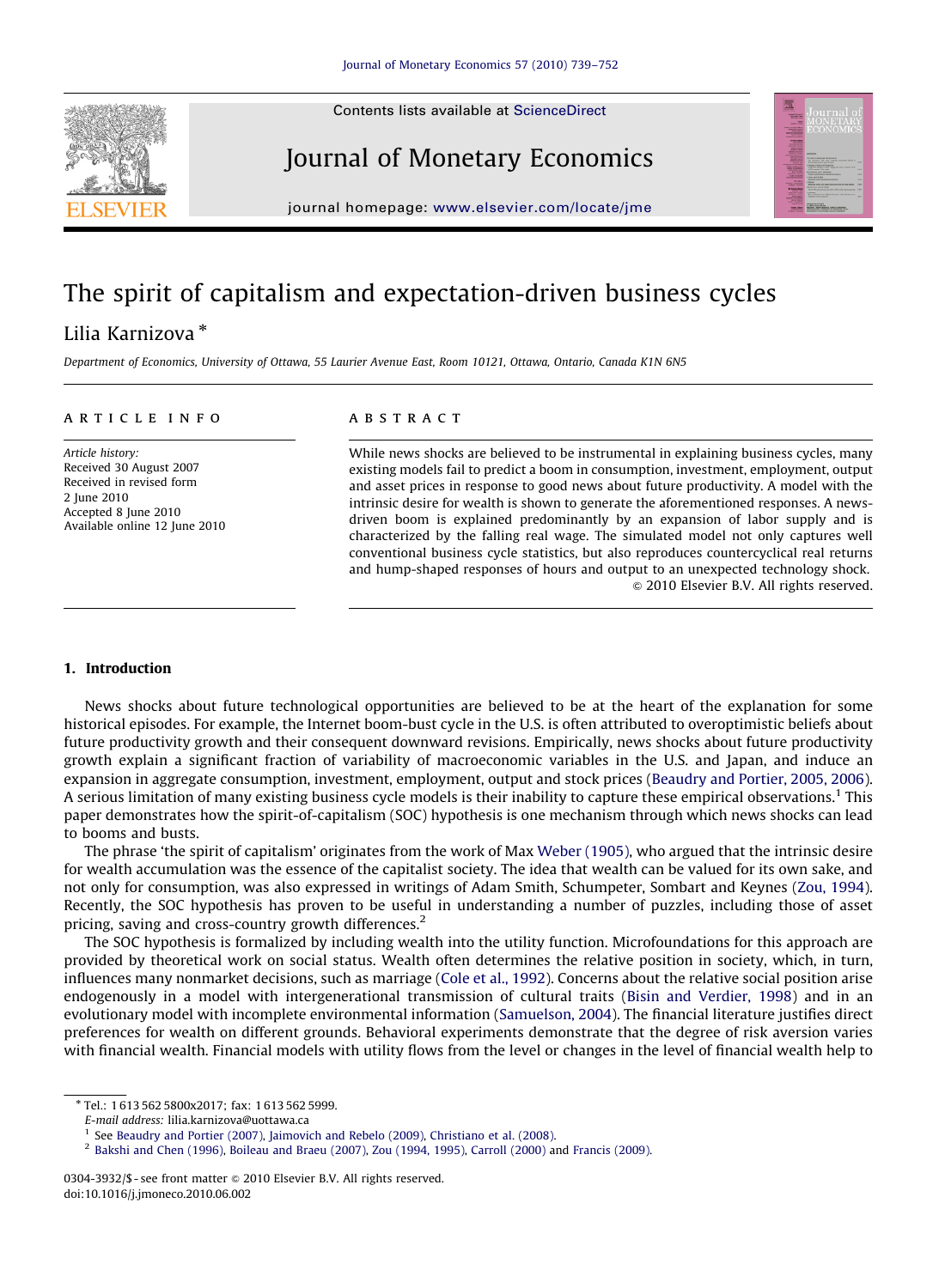Contents lists available at ScienceDirect







journal homepage: <www.elsevier.com/locate/jme>

# The spirit of capitalism and expectation-driven business cycles

# Lilia Karnizova \*

Department of Economics, University of Ottawa, 55 Laurier Avenue East, Room 10121, Ottawa, Ontario, Canada K1N 6N5

#### article info

Article history: Received 30 August 2007 Received in revised form 2 June 2010 Accepted 8 June 2010 Available online 12 June 2010

### **ABSTRACT**

While news shocks are believed to be instrumental in explaining business cycles, many existing models fail to predict a boom in consumption, investment, employment, output and asset prices in response to good news about future productivity. A model with the intrinsic desire for wealth is shown to generate the aforementioned responses. A newsdriven boom is explained predominantly by an expansion of labor supply and is characterized by the falling real wage. The simulated model not only captures well conventional business cycle statistics, but also reproduces countercyclical real returns and hump-shaped responses of hours and output to an unexpected technology shock.  $\odot$  2010 Elsevier B.V. All rights reserved.

## 1. Introduction

News shocks about future technological opportunities are believed to be at the heart of the explanation for some historical episodes. For example, the Internet boom-bust cycle in the U.S. is often attributed to overoptimistic beliefs about future productivity growth and their consequent downward revisions. Empirically, news shocks about future productivity growth explain a significant fraction of variability of macroeconomic variables in the U.S. and Japan, and induce an expansion in aggregate consumption, investment, employment, output and stock prices ([Beaudry and Portier, 2005, 2006](#page--1-0)). A serious limitation of many existing business cycle models is their inability to capture these empirical observations.<sup>1</sup> This paper demonstrates how the spirit-of-capitalism (SOC) hypothesis is one mechanism through which news shocks can lead to booms and busts.

The phrase 'the spirit of capitalism' originates from the work of Max [Weber \(1905\),](#page--1-0) who argued that the intrinsic desire for wealth accumulation was the essence of the capitalist society. The idea that wealth can be valued for its own sake, and not only for consumption, was also expressed in writings of Adam Smith, Schumpeter, Sombart and Keynes ([Zou, 1994](#page--1-0)). Recently, the SOC hypothesis has proven to be useful in understanding a number of puzzles, including those of asset pricing, saving and cross-country growth differences.2

The SOC hypothesis is formalized by including wealth into the utility function. Microfoundations for this approach are provided by theoretical work on social status. Wealth often determines the relative position in society, which, in turn, influences many nonmarket decisions, such as marriage [\(Cole et al., 1992](#page--1-0)). Concerns about the relative social position arise endogenously in a model with intergenerational transmission of cultural traits [\(Bisin and Verdier, 1998](#page--1-0)) and in an evolutionary model with incomplete environmental information ([Samuelson, 2004\)](#page--1-0). The financial literature justifies direct preferences for wealth on different grounds. Behavioral experiments demonstrate that the degree of risk aversion varies with financial wealth. Financial models with utility flows from the level or changes in the level of financial wealth help to

<sup>-</sup> Tel.: 1 613 562 5800x2017; fax: 1 613 562 5999.

E-mail address: [lilia.karnizova@uottawa.ca](mailto:lilia.karnizova@uottawa.ca)

See [Beaudry and Portier \(2007\)](#page--1-0), [Jaimovich and Rebelo \(2009\)](#page--1-0), [Christiano et al. \(2008\)](#page--1-0).

<sup>2</sup> [Bakshi and Chen \(1996\),](#page--1-0) [Boileau and Braeu \(2007\),](#page--1-0) [Zou \(1994, 1995\),](#page--1-0) [Carroll \(2000\)](#page--1-0) and [Francis \(2009\)](#page--1-0).

<sup>0304-3932/\$ -</sup> see front matter  $\odot$  2010 Elsevier B.V. All rights reserved. doi:[10.1016/j.jmoneco.2010.06.002](dx.doi.org/10.1016/j.jmoneco.2010.06.002)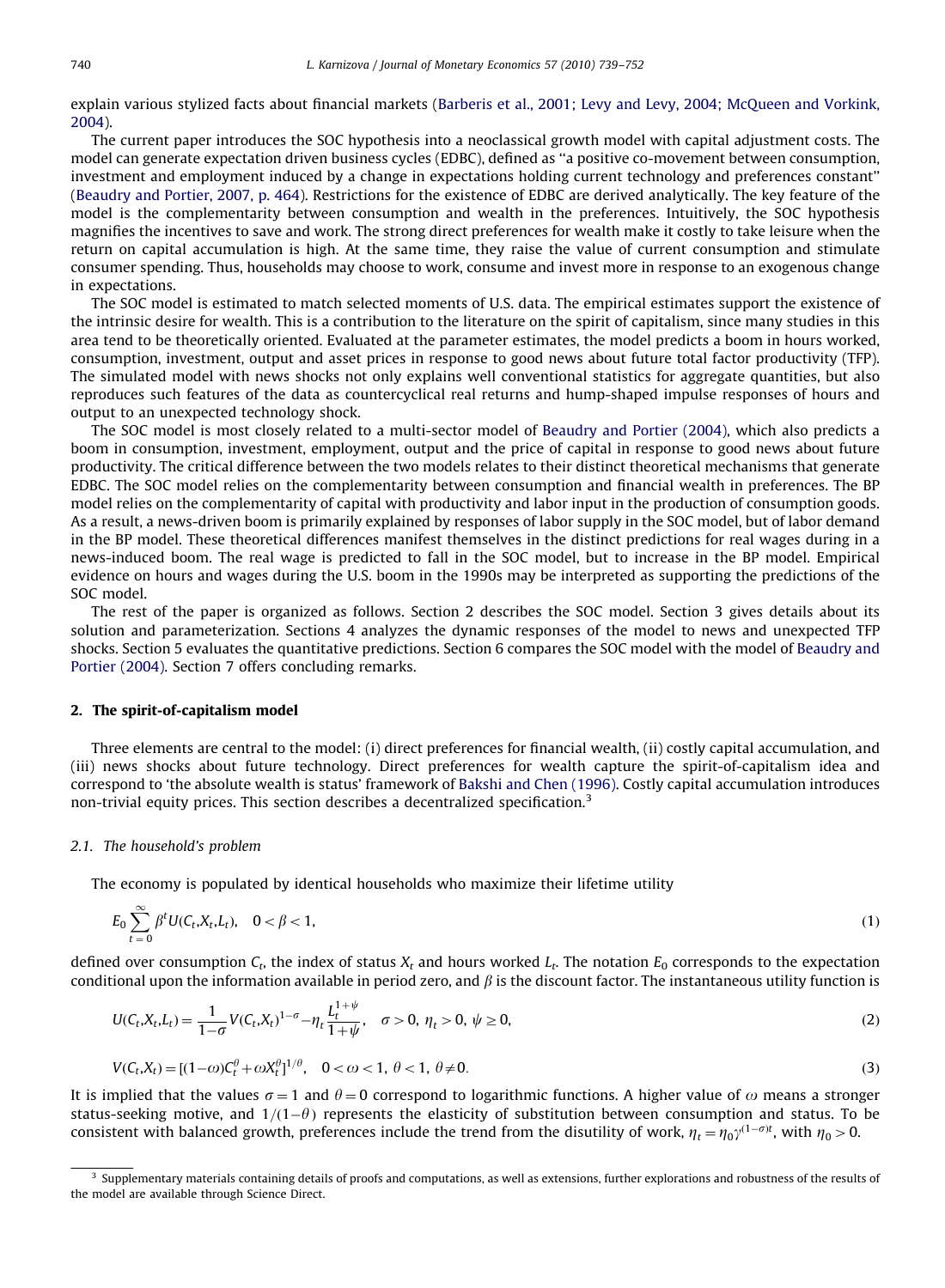explain various stylized facts about financial markets [\(Barberis et al., 2001; Levy and Levy, 2004; McQueen and Vorkink,](#page--1-0) [2004\)](#page--1-0).

The current paper introduces the SOC hypothesis into a neoclassical growth model with capital adjustment costs. The model can generate expectation driven business cycles (EDBC), defined as ''a positive co-movement between consumption, investment and employment induced by a change in expectations holding current technology and preferences constant'' ([Beaudry and Portier, 2007, p. 464\)](#page--1-0). Restrictions for the existence of EDBC are derived analytically. The key feature of the model is the complementarity between consumption and wealth in the preferences. Intuitively, the SOC hypothesis magnifies the incentives to save and work. The strong direct preferences for wealth make it costly to take leisure when the return on capital accumulation is high. At the same time, they raise the value of current consumption and stimulate consumer spending. Thus, households may choose to work, consume and invest more in response to an exogenous change in expectations.

The SOC model is estimated to match selected moments of U.S. data. The empirical estimates support the existence of the intrinsic desire for wealth. This is a contribution to the literature on the spirit of capitalism, since many studies in this area tend to be theoretically oriented. Evaluated at the parameter estimates, the model predicts a boom in hours worked, consumption, investment, output and asset prices in response to good news about future total factor productivity (TFP). The simulated model with news shocks not only explains well conventional statistics for aggregate quantities, but also reproduces such features of the data as countercyclical real returns and hump-shaped impulse responses of hours and output to an unexpected technology shock.

The SOC model is most closely related to a multi-sector model of [Beaudry and Portier \(2004\),](#page--1-0) which also predicts a boom in consumption, investment, employment, output and the price of capital in response to good news about future productivity. The critical difference between the two models relates to their distinct theoretical mechanisms that generate EDBC. The SOC model relies on the complementarity between consumption and financial wealth in preferences. The BP model relies on the complementarity of capital with productivity and labor input in the production of consumption goods. As a result, a news-driven boom is primarily explained by responses of labor supply in the SOC model, but of labor demand in the BP model. These theoretical differences manifest themselves in the distinct predictions for real wages during in a news-induced boom. The real wage is predicted to fall in the SOC model, but to increase in the BP model. Empirical evidence on hours and wages during the U.S. boom in the 1990s may be interpreted as supporting the predictions of the SOC model.

The rest of the paper is organized as follows. Section 2 describes the SOC model. Section 3 gives details about its solution and parameterization. Sections 4 analyzes the dynamic responses of the model to news and unexpected TFP shocks. Section 5 evaluates the quantitative predictions. Section 6 compares the SOC model with the model of [Beaudry and](#page--1-0) [Portier \(2004\).](#page--1-0) Section 7 offers concluding remarks.

### 2. The spirit-of-capitalism model

Three elements are central to the model: (i) direct preferences for financial wealth, (ii) costly capital accumulation, and (iii) news shocks about future technology. Direct preferences for wealth capture the spirit-of-capitalism idea and correspond to 'the absolute wealth is status' framework of [Bakshi and Chen \(1996\).](#page--1-0) Costly capital accumulation introduces non-trivial equity prices. This section describes a decentralized specification.<sup>3</sup>

#### 2.1. The household's problem

The economy is populated by identical households who maximize their lifetime utility

$$
E_0 \sum_{t=0}^{\infty} \beta^t U(C_t, X_t, L_t), \quad 0 < \beta < 1,\tag{1}
$$

defined over consumption  $C_t$ , the index of status  $X_t$  and hours worked  $L_t$ . The notation  $E_0$  corresponds to the expectation conditional upon the information available in period zero, and  $\beta$  is the discount factor. The instantaneous utility function is

$$
U(C_t, X_t, L_t) = \frac{1}{1 - \sigma} V(C_t, X_t)^{1 - \sigma} - \eta_t \frac{L_t^{1 + \psi}}{1 + \psi}, \quad \sigma > 0, \eta_t > 0, \psi \ge 0,
$$
\n
$$
(2)
$$

$$
V(C_t, X_t) = [(1 - \omega)C_t^{\theta} + \omega X_t^{\theta}]^{1/\theta}, \quad 0 < \omega < 1, \ \theta < 1, \ \theta \neq 0.
$$
 (3)

It is implied that the values  $\sigma = 1$  and  $\theta = 0$  correspond to logarithmic functions. A higher value of  $\omega$  means a stronger status-seeking motive, and  $1/(1-\theta)$  represents the elasticity of substitution between consumption and status. To be consistent with balanced growth, preferences include the trend from the disutility of work,  $\eta_t = \eta_0\gamma^{(1-\sigma)t}$ , with  $\eta_0 > 0$ .

<sup>&</sup>lt;sup>3</sup> Supplementary materials containing details of proofs and computations, as well as extensions, further explorations and robustness of the results of the model are available through Science Direct.